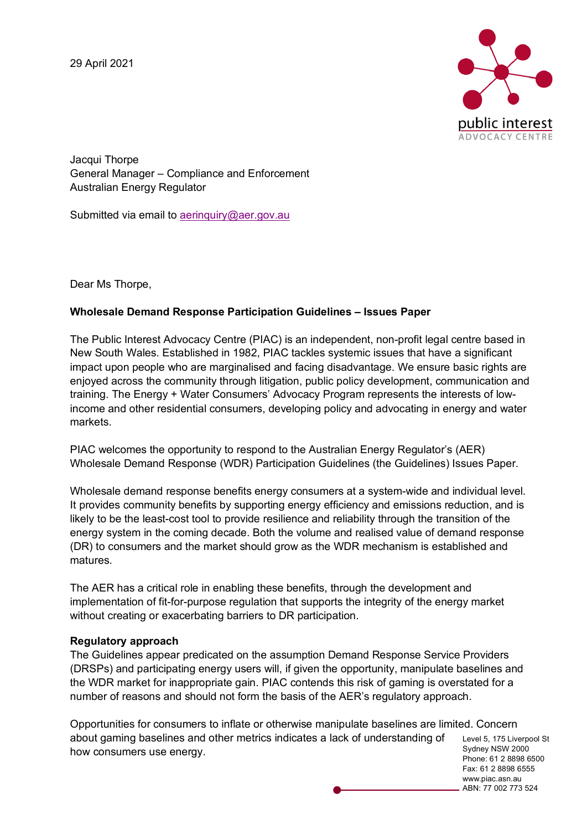29 April 2021



Jacqui Thorpe General Manager – Compliance and Enforcement Australian Energy Regulator

Submitted via email to aerinquiry@aer.gov.au

Dear Ms Thorpe,

## **Wholesale Demand Response Participation Guidelines – Issues Paper**

The Public Interest Advocacy Centre (PIAC) is an independent, non-profit legal centre based in New South Wales. Established in 1982, PIAC tackles systemic issues that have a significant impact upon people who are marginalised and facing disadvantage. We ensure basic rights are enjoyed across the community through litigation, public policy development, communication and training. The Energy + Water Consumers' Advocacy Program represents the interests of lowincome and other residential consumers, developing policy and advocating in energy and water markets.

PIAC welcomes the opportunity to respond to the Australian Energy Regulator's (AER) Wholesale Demand Response (WDR) Participation Guidelines (the Guidelines) Issues Paper.

Wholesale demand response benefits energy consumers at a system-wide and individual level. It provides community benefits by supporting energy efficiency and emissions reduction, and is likely to be the least-cost tool to provide resilience and reliability through the transition of the energy system in the coming decade. Both the volume and realised value of demand response (DR) to consumers and the market should grow as the WDR mechanism is established and matures.

The AER has a critical role in enabling these benefits, through the development and implementation of fit-for-purpose regulation that supports the integrity of the energy market without creating or exacerbating barriers to DR participation.

## **Regulatory approach**

The Guidelines appear predicated on the assumption Demand Response Service Providers (DRSPs) and participating energy users will, if given the opportunity, manipulate baselines and the WDR market for inappropriate gain. PIAC contends this risk of gaming is overstated for a number of reasons and should not form the basis of the AER's regulatory approach.

Level 5, 175 Liverpool St Sydney NSW 2000 Phone: 61 2 8898 6500 Opportunities for consumers to inflate or otherwise manipulate baselines are limited. Concern about gaming baselines and other metrics indicates a lack of understanding of how consumers use energy.

Fax: 61 2 8898 6555 www.piac.asn.au ABN: 77 002 773 524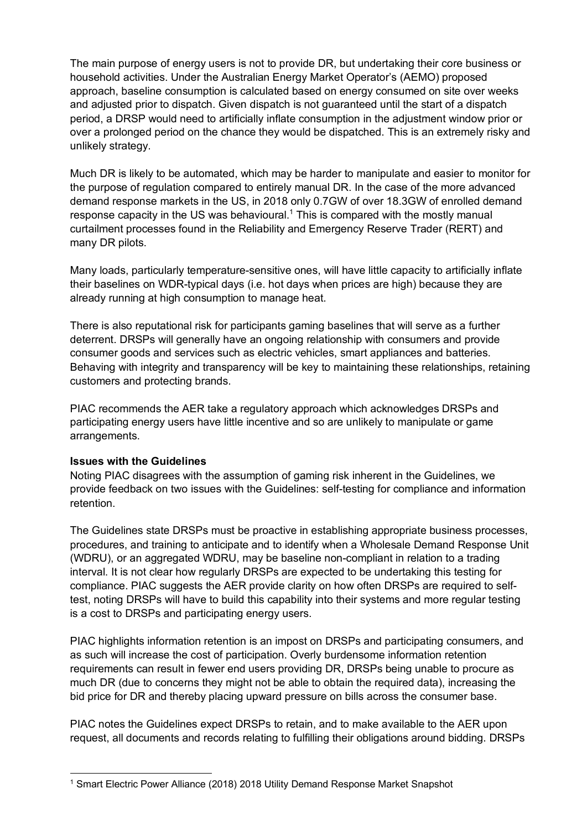The main purpose of energy users is not to provide DR, but undertaking their core business or household activities. Under the Australian Energy Market Operator's (AEMO) proposed approach, baseline consumption is calculated based on energy consumed on site over weeks and adjusted prior to dispatch. Given dispatch is not guaranteed until the start of a dispatch period, a DRSP would need to artificially inflate consumption in the adjustment window prior or over a prolonged period on the chance they would be dispatched. This is an extremely risky and unlikely strategy.

Much DR is likely to be automated, which may be harder to manipulate and easier to monitor for the purpose of regulation compared to entirely manual DR. In the case of the more advanced demand response markets in the US, in 2018 only 0.7GW of over 18.3GW of enrolled demand response capacity in the US was behavioural.<sup>1</sup> This is compared with the mostly manual curtailment processes found in the Reliability and Emergency Reserve Trader (RERT) and many DR pilots.

Many loads, particularly temperature-sensitive ones, will have little capacity to artificially inflate their baselines on WDR-typical days (i.e. hot days when prices are high) because they are already running at high consumption to manage heat.

There is also reputational risk for participants gaming baselines that will serve as a further deterrent. DRSPs will generally have an ongoing relationship with consumers and provide consumer goods and services such as electric vehicles, smart appliances and batteries. Behaving with integrity and transparency will be key to maintaining these relationships, retaining customers and protecting brands.

PIAC recommends the AER take a regulatory approach which acknowledges DRSPs and participating energy users have little incentive and so are unlikely to manipulate or game arrangements.

## **Issues with the Guidelines**

Noting PIAC disagrees with the assumption of gaming risk inherent in the Guidelines, we provide feedback on two issues with the Guidelines: self-testing for compliance and information retention.

The Guidelines state DRSPs must be proactive in establishing appropriate business processes, procedures, and training to anticipate and to identify when a Wholesale Demand Response Unit (WDRU), or an aggregated WDRU, may be baseline non-compliant in relation to a trading interval. It is not clear how regularly DRSPs are expected to be undertaking this testing for compliance. PIAC suggests the AER provide clarity on how often DRSPs are required to selftest, noting DRSPs will have to build this capability into their systems and more regular testing is a cost to DRSPs and participating energy users.

PIAC highlights information retention is an impost on DRSPs and participating consumers, and as such will increase the cost of participation. Overly burdensome information retention requirements can result in fewer end users providing DR, DRSPs being unable to procure as much DR (due to concerns they might not be able to obtain the required data), increasing the bid price for DR and thereby placing upward pressure on bills across the consumer base.

PIAC notes the Guidelines expect DRSPs to retain, and to make available to the AER upon request, all documents and records relating to fulfilling their obligations around bidding. DRSPs

 <sup>1</sup> Smart Electric Power Alliance (2018) 2018 Utility Demand Response Market Snapshot